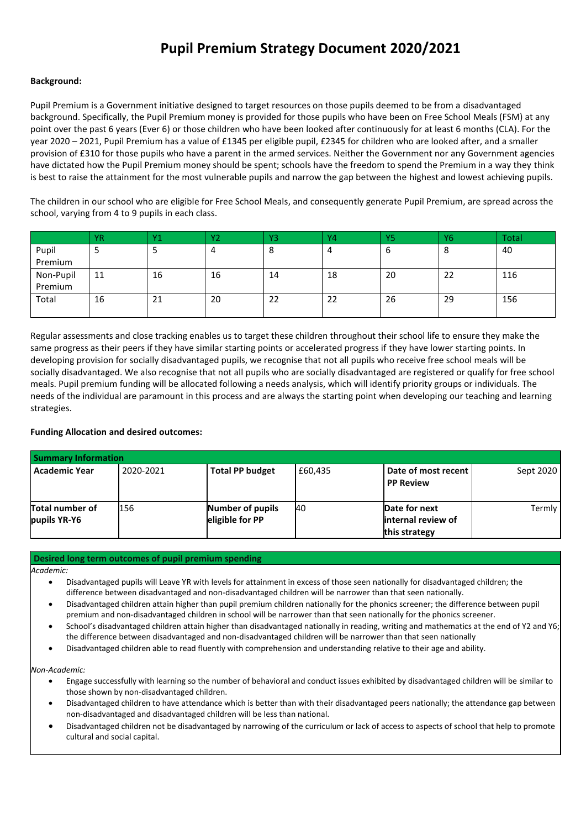# **Pupil Premium Strategy Document 2020/2021**

### **Background:**

Pupil Premium is a Government initiative designed to target resources on those pupils deemed to be from a disadvantaged background. Specifically, the Pupil Premium money is provided for those pupils who have been on Free School Meals (FSM) at any point over the past 6 years (Ever 6) or those children who have been looked after continuously for at least 6 months (CLA). For the year 2020 – 2021, Pupil Premium has a value of £1345 per eligible pupil, £2345 for children who are looked after, and a smaller provision of £310 for those pupils who have a parent in the armed services. Neither the Government nor any Government agencies have dictated how the Pupil Premium money should be spent; schools have the freedom to spend the Premium in a way they think is best to raise the attainment for the most vulnerable pupils and narrow the gap between the highest and lowest achieving pupils.

The children in our school who are eligible for Free School Meals, and consequently generate Pupil Premium, are spread across the school, varying from 4 to 9 pupils in each class.

|           | <b>YR</b> | Y <sub>1</sub> | Y2 | Y3 | Y4 | Y5 | <b>Y6</b> | Total |
|-----------|-----------|----------------|----|----|----|----|-----------|-------|
| Pupil     | ر         |                | 4  | 8  | 4  |    | $\circ$   | 40    |
| Premium   |           |                |    |    |    |    |           |       |
| Non-Pupil | 11        | 16             | 16 | 14 | 18 | 20 | 22        | 116   |
| Premium   |           |                |    |    |    |    |           |       |
| Total     | 16        | 21             | 20 | 22 | 22 | 26 | 29        | 156   |
|           |           |                |    |    |    |    |           |       |

Regular assessments and close tracking enables us to target these children throughout their school life to ensure they make the same progress as their peers if they have similar starting points or accelerated progress if they have lower starting points. In developing provision for socially disadvantaged pupils, we recognise that not all pupils who receive free school meals will be socially disadvantaged. We also recognise that not all pupils who are socially disadvantaged are registered or qualify for free school meals. Pupil premium funding will be allocated following a needs analysis, which will identify priority groups or individuals. The needs of the individual are paramount in this process and are always the starting point when developing our teaching and learning strategies.

## **Funding Allocation and desired outcomes:**

| <b>Summary Information</b>      |           |                                     |         |                                                       |           |
|---------------------------------|-----------|-------------------------------------|---------|-------------------------------------------------------|-----------|
| <b>Academic Year</b>            | 2020-2021 | <b>Total PP budget</b>              | £60.435 | Date of most recent<br><b>PP Review</b>               | Sept 2020 |
| Total number of<br>pupils YR-Y6 | 156       | Number of pupils<br>eligible for PP | 40      | Date for next<br>linternal review of<br>this strategy | Termly    |

#### **Desired long term outcomes of pupil premium spending**

*Academic:*

- Disadvantaged pupils will Leave YR with levels for attainment in excess of those seen nationally for disadvantaged children; the difference between disadvantaged and non-disadvantaged children will be narrower than that seen nationally.
- Disadvantaged children attain higher than pupil premium children nationally for the phonics screener; the difference between pupil premium and non-disadvantaged children in school will be narrower than that seen nationally for the phonics screener.
- School's disadvantaged children attain higher than disadvantaged nationally in reading, writing and mathematics at the end of Y2 and Y6; the difference between disadvantaged and non-disadvantaged children will be narrower than that seen nationally
- Disadvantaged children able to read fluently with comprehension and understanding relative to their age and ability.

*Non-Academic:*

- Engage successfully with learning so the number of behavioral and conduct issues exhibited by disadvantaged children will be similar to those shown by non-disadvantaged children.
- Disadvantaged children to have attendance which is better than with their disadvantaged peers nationally; the attendance gap between non-disadvantaged and disadvantaged children will be less than national.
- Disadvantaged children not be disadvantaged by narrowing of the curriculum or lack of access to aspects of school that help to promote cultural and social capital.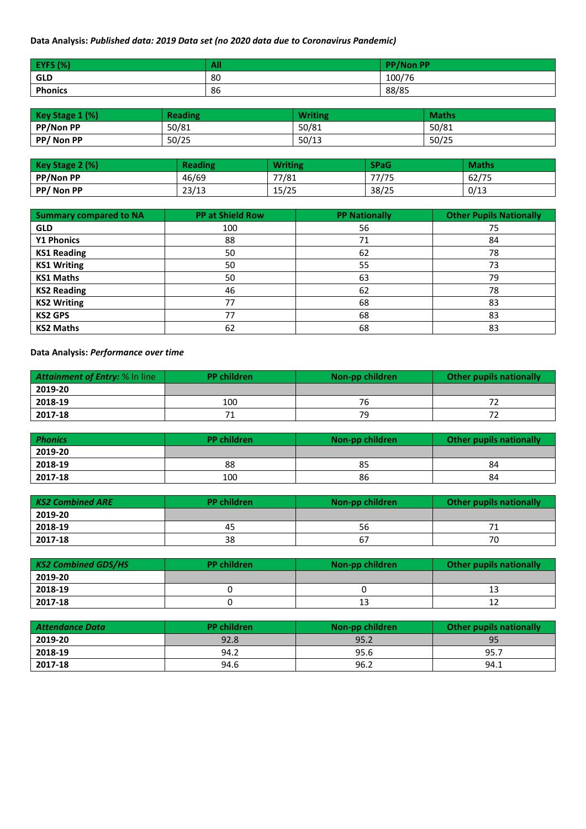## **Data Analysis:** *Published data: 2019 Data set (no 2020 data due to Coronavirus Pandemic)*

| <b>EYFS (%)</b> | All | <b>PP/Non PP</b> |
|-----------------|-----|------------------|
| <b>GLD</b>      | 80  | 100/76           |
| <b>Phonics</b>  | 86  | 88/85            |

| Key Stage 1 (%)  | <b>Reading</b> | <b>Writing</b> | <b>Maths</b> |
|------------------|----------------|----------------|--------------|
| <b>PP/Non PP</b> | 50/81          | 50/81          | 50/81        |
| PP/Non PP        | 50/25          | 50/13          | 50/25        |

| Key Stage 2 (%) | <b>Reading</b> | <b>Writing</b> | <b>SPaG</b> | <b>Maths</b> |
|-----------------|----------------|----------------|-------------|--------------|
| PP/Non PP       | 46/69          | 77/81          | 77/75       | 62/75        |
| PP/Non PP       | 23/13          | 15/25          | 38/25       | 0/13         |

| <b>Summary compared to NA</b> | <b>PP at Shield Row</b> | <b>PP Nationally</b> | <b>Other Pupils Nationally</b> |
|-------------------------------|-------------------------|----------------------|--------------------------------|
| <b>GLD</b>                    | 100                     | 56                   | 75                             |
| <b>Y1 Phonics</b>             | 88                      | 71                   | 84                             |
| <b>KS1 Reading</b>            | 50                      | 62                   | 78                             |
| <b>KS1 Writing</b>            | 50                      | 55                   | 73                             |
| <b>KS1 Maths</b>              | 50                      | 63                   | 79                             |
| <b>KS2 Reading</b>            | 46                      | 62                   | 78                             |
| <b>KS2 Writing</b>            | 77                      | 68                   | 83                             |
| <b>KS2 GPS</b>                | 77                      | 68                   | 83                             |
| <b>KS2 Maths</b>              | 62                      | 68                   | 83                             |

**Data Analysis:** *Performance over time* 

| Attainment of Entry: % In line | <b>PP</b> children | Non-pp children | <b>Other pupils nationally</b> |
|--------------------------------|--------------------|-----------------|--------------------------------|
| 2019-20                        |                    |                 |                                |
| 2018-19                        | 100                | 76              |                                |
| 2017-18                        | 71                 | 79              |                                |

| <b>Phonics</b> | <b>PP</b> children | Non-pp children | Other pupils nationally |
|----------------|--------------------|-----------------|-------------------------|
| 2019-20        |                    |                 |                         |
| 2018-19        | 88                 | 85              | 84                      |
| 2017-18        | 100                | 86              | 84                      |

| <b>KS2 Combined ARE</b> | <b>PP</b> children | Non-pp children | <b>Other pupils nationally</b> |
|-------------------------|--------------------|-----------------|--------------------------------|
| 2019-20                 |                    |                 |                                |
| 2018-19                 | 45                 | 56              |                                |
| 2017-18                 | 38                 | 67              | 70                             |

| <b>KS2 Combined GDS/HS</b> | <b>PP</b> children | Non-pp children | Other pupils nationally |
|----------------------------|--------------------|-----------------|-------------------------|
| 2019-20                    |                    |                 |                         |
| 2018-19                    |                    |                 |                         |
| 2017-18                    |                    |                 | ᅩ                       |

| Attendance Data | <b>PP</b> children | Non-pp children | Other pupils nationally |
|-----------------|--------------------|-----------------|-------------------------|
| 2019-20         | 92.8               | 95.2            | 95                      |
| 2018-19         | 94.2               | 95.6            | 95.7                    |
| 2017-18         | 94.6               | 96.2            | 94.1                    |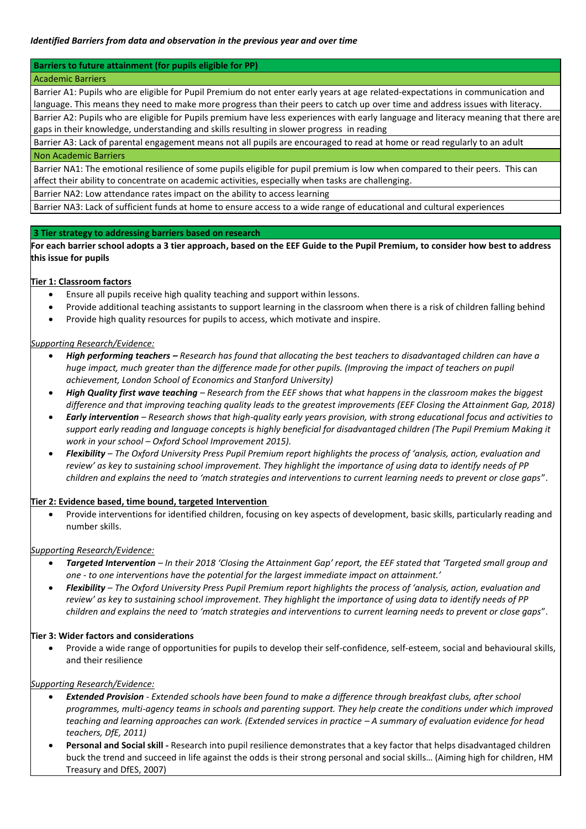### **Barriers to future attainment (for pupils eligible for PP)**

#### Academic Barriers

Barrier A1: Pupils who are eligible for Pupil Premium do not enter early years at age related-expectations in communication and language. This means they need to make more progress than their peers to catch up over time and address issues with literacy.

Barrier A2: Pupils who are eligible for Pupils premium have less experiences with early language and literacy meaning that there are gaps in their knowledge, understanding and skills resulting in slower progress in reading

Barrier A3: Lack of parental engagement means not all pupils are encouraged to read at home or read regularly to an adult Non Academic Barriers

Barrier NA1: The emotional resilience of some pupils eligible for pupil premium is low when compared to their peers. This can affect their ability to concentrate on academic activities, especially when tasks are challenging.

Barrier NA2: Low attendance rates impact on the ability to access learning

Barrier NA3: Lack of sufficient funds at home to ensure access to a wide range of educational and cultural experiences

#### **3 Tier strategy to addressing barriers based on research**

**For each barrier school adopts a 3 tier approach, based on the EEF Guide to the Pupil Premium, to consider how best to address this issue for pupils**

#### **Tier 1: Classroom factors**

- Ensure all pupils receive high quality teaching and support within lessons.
- Provide additional teaching assistants to support learning in the classroom when there is a risk of children falling behind
- Provide high quality resources for pupils to access, which motivate and inspire.

#### *Supporting Research/Evidence:*

- *High performing teachers – Research has found that allocating the best teachers to disadvantaged children can have a huge impact, much greater than the difference made for other pupils. (Improving the impact of teachers on pupil achievement, London School of Economics and Stanford University)*
- *High Quality first wave teaching – Research from the EEF shows that what happens in the classroom makes the biggest difference and that improving teaching quality leads to the greatest improvements (EEF Closing the Attainment Gap, 2018)*
- *Early intervention – Research shows that high-quality early years provision, with strong educational focus and activities to support early reading and language concepts is highly beneficial for disadvantaged children (The Pupil Premium Making it work in your school – Oxford School Improvement 2015).*
- *Flexibility – The Oxford University Press Pupil Premium report highlights the process of 'analysis, action, evaluation and review' as key to sustaining school improvement. They highlight the importance of using data to identify needs of PP children and explains the need to 'match strategies and interventions to current learning needs to prevent or close gaps*".

### **Tier 2: Evidence based, time bound, targeted Intervention**

 Provide interventions for identified children, focusing on key aspects of development, basic skills, particularly reading and number skills.

#### *Supporting Research/Evidence:*

- *Targeted Intervention – In their 2018 'Closing the Attainment Gap' report, the EEF stated that 'Targeted small group and one - to one interventions have the potential for the largest immediate impact on attainment.'*
- *Flexibility – The Oxford University Press Pupil Premium report highlights the process of 'analysis, action, evaluation and review' as key to sustaining school improvement. They highlight the importance of using data to identify needs of PP children and explains the need to 'match strategies and interventions to current learning needs to prevent or close gaps*".

#### **Tier 3: Wider factors and considerations**

 Provide a wide range of opportunities for pupils to develop their self-confidence, self-esteem, social and behavioural skills, and their resilience

#### *Supporting Research/Evidence:*

- *Extended Provision - Extended schools have been found to make a difference through breakfast clubs, after school programmes, multi-agency teams in schools and parenting support. They help create the conditions under which improved teaching and learning approaches can work. (Extended services in practice – A summary of evaluation evidence for head teachers, DfE, 2011)*
- **Personal and Social skill -** Research into pupil resilience demonstrates that a key factor that helps disadvantaged children buck the trend and succeed in life against the odds is their strong personal and social skills… (Aiming high for children, HM Treasury and DfES, 2007)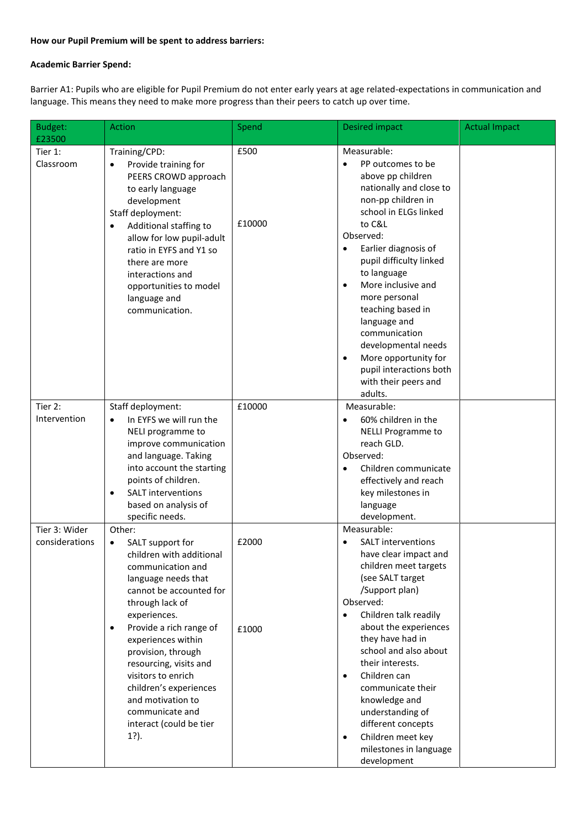## **How our Pupil Premium will be spent to address barriers:**

## **Academic Barrier Spend:**

Barrier A1: Pupils who are eligible for Pupil Premium do not enter early years at age related-expectations in communication and language. This means they need to make more progress than their peers to catch up over time.

| Budget:<br>£23500               | <b>Action</b>                                                                                                                                                                                                                                                                                                                                                                                                  | Spend          | <b>Desired impact</b>                                                                                                                                                                                                                                                                                                                                                                                                                                                                  | <b>Actual Impact</b> |
|---------------------------------|----------------------------------------------------------------------------------------------------------------------------------------------------------------------------------------------------------------------------------------------------------------------------------------------------------------------------------------------------------------------------------------------------------------|----------------|----------------------------------------------------------------------------------------------------------------------------------------------------------------------------------------------------------------------------------------------------------------------------------------------------------------------------------------------------------------------------------------------------------------------------------------------------------------------------------------|----------------------|
| Tier 1:<br>Classroom            | Training/CPD:<br>Provide training for<br>PEERS CROWD approach<br>to early language<br>development<br>Staff deployment:<br>Additional staffing to<br>$\bullet$<br>allow for low pupil-adult<br>ratio in EYFS and Y1 so<br>there are more<br>interactions and<br>opportunities to model<br>language and<br>communication.                                                                                        | £500<br>£10000 | Measurable:<br>PP outcomes to be<br>$\bullet$<br>above pp children<br>nationally and close to<br>non-pp children in<br>school in ELGs linked<br>to C&L<br>Observed:<br>Earlier diagnosis of<br>$\bullet$<br>pupil difficulty linked<br>to language<br>More inclusive and<br>$\bullet$<br>more personal<br>teaching based in<br>language and<br>communication<br>developmental needs<br>More opportunity for<br>$\bullet$<br>pupil interactions both<br>with their peers and<br>adults. |                      |
| Tier 2:<br>Intervention         | Staff deployment:<br>In EYFS we will run the<br>$\bullet$<br>NELI programme to<br>improve communication<br>and language. Taking<br>into account the starting<br>points of children.<br>SALT interventions<br>$\bullet$<br>based on analysis of<br>specific needs.                                                                                                                                              | £10000         | Measurable:<br>60% children in the<br><b>NELLI Programme to</b><br>reach GLD.<br>Observed:<br>Children communicate<br>$\bullet$<br>effectively and reach<br>key milestones in<br>language<br>development.                                                                                                                                                                                                                                                                              |                      |
| Tier 3: Wider<br>considerations | Other:<br>SALT support for<br>٠<br>children with additional<br>communication and<br>language needs that<br>cannot be accounted for<br>through lack of<br>experiences.<br>Provide a rich range of<br>$\bullet$<br>experiences within<br>provision, through<br>resourcing, visits and<br>visitors to enrich<br>children's experiences<br>and motivation to<br>communicate and<br>interact (could be tier<br>1?). | £2000<br>£1000 | Measurable:<br><b>SALT</b> interventions<br>have clear impact and<br>children meet targets<br>(see SALT target<br>/Support plan)<br>Observed:<br>Children talk readily<br>$\bullet$<br>about the experiences<br>they have had in<br>school and also about<br>their interests.<br>Children can<br>$\bullet$<br>communicate their<br>knowledge and<br>understanding of<br>different concepts<br>Children meet key<br>$\bullet$<br>milestones in language<br>development                  |                      |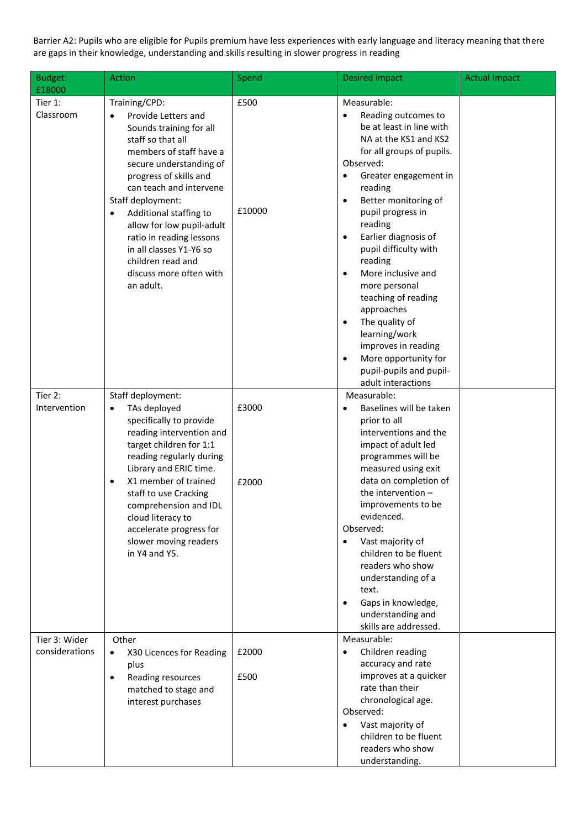Barrier A2: Pupils who are eligible for Pupils premium have less experiences with early language and literacy meaning that there are gaps in their knowledge, understanding and skills resulting in slower progress in reading

| Budget:<br>£18000               | <b>Action</b>                                                                                                                                                                                                                                                                                                                                                                                                | Spend          | <b>Desired impact</b>                                                                                                                                                                                                                                                                                                                                                                                                                                                                                                                                                     | <b>Actual Impact</b> |
|---------------------------------|--------------------------------------------------------------------------------------------------------------------------------------------------------------------------------------------------------------------------------------------------------------------------------------------------------------------------------------------------------------------------------------------------------------|----------------|---------------------------------------------------------------------------------------------------------------------------------------------------------------------------------------------------------------------------------------------------------------------------------------------------------------------------------------------------------------------------------------------------------------------------------------------------------------------------------------------------------------------------------------------------------------------------|----------------------|
| Tier 1:<br>Classroom            | Training/CPD:<br>Provide Letters and<br>Sounds training for all<br>staff so that all<br>members of staff have a<br>secure understanding of<br>progress of skills and<br>can teach and intervene<br>Staff deployment:<br>Additional staffing to<br>$\bullet$<br>allow for low pupil-adult<br>ratio in reading lessons<br>in all classes Y1-Y6 so<br>children read and<br>discuss more often with<br>an adult. | £500<br>£10000 | Measurable:<br>Reading outcomes to<br>be at least in line with<br>NA at the KS1 and KS2<br>for all groups of pupils.<br>Observed:<br>Greater engagement in<br>$\bullet$<br>reading<br>Better monitoring of<br>$\bullet$<br>pupil progress in<br>reading<br>Earlier diagnosis of<br>$\bullet$<br>pupil difficulty with<br>reading<br>More inclusive and<br>more personal<br>teaching of reading<br>approaches<br>The quality of<br>$\bullet$<br>learning/work<br>improves in reading<br>More opportunity for<br>$\bullet$<br>pupil-pupils and pupil-<br>adult interactions |                      |
| Tier 2:<br>Intervention         | Staff deployment:<br>TAs deployed<br>$\bullet$<br>specifically to provide<br>reading intervention and<br>target children for 1:1<br>reading regularly during<br>Library and ERIC time.<br>X1 member of trained<br>staff to use Cracking<br>comprehension and IDL<br>cloud literacy to<br>accelerate progress for<br>slower moving readers<br>in Y4 and Y5.                                                   | £3000<br>£2000 | Measurable:<br>Baselines will be taken<br>$\bullet$<br>prior to all<br>interventions and the<br>impact of adult led<br>programmes will be<br>measured using exit<br>data on completion of<br>the intervention -<br>improvements to be<br>evidenced.<br>Observed:<br>Vast majority of<br>$\bullet$<br>children to be fluent<br>readers who show<br>understanding of a<br>text.<br>Gaps in knowledge,<br>$\bullet$<br>understanding and<br>skills are addressed.                                                                                                            |                      |
| Tier 3: Wider<br>considerations | Other<br>X30 Licences for Reading<br>plus<br>Reading resources<br>$\bullet$<br>matched to stage and<br>interest purchases                                                                                                                                                                                                                                                                                    | £2000<br>£500  | Measurable:<br>Children reading<br>$\bullet$<br>accuracy and rate<br>improves at a quicker<br>rate than their<br>chronological age.<br>Observed:<br>Vast majority of<br>$\bullet$<br>children to be fluent<br>readers who show<br>understanding.                                                                                                                                                                                                                                                                                                                          |                      |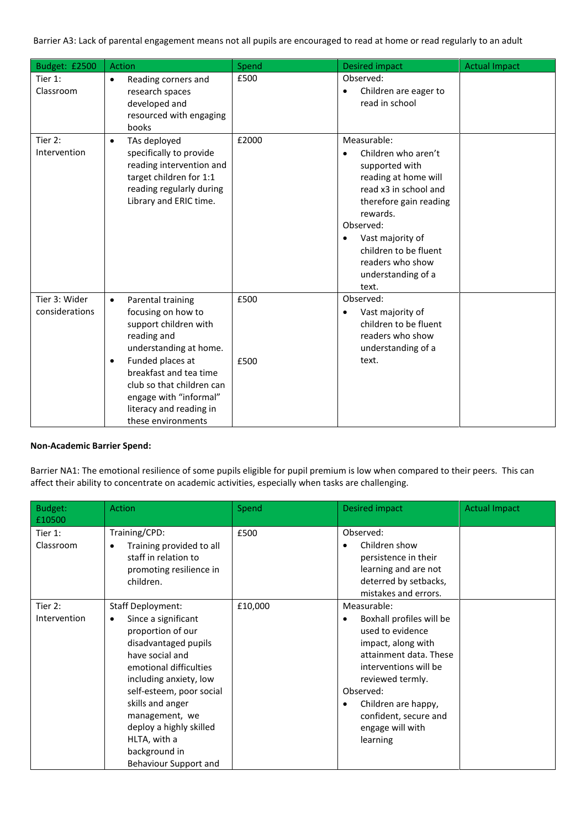Barrier A3: Lack of parental engagement means not all pupils are encouraged to read at home or read regularly to an adult

| Budget: £2500                   | <b>Action</b>                                                                                                                                                                                                                                                                             | Spend        | <b>Desired impact</b>                                                                                                                                                                                                                                                              | <b>Actual Impact</b> |
|---------------------------------|-------------------------------------------------------------------------------------------------------------------------------------------------------------------------------------------------------------------------------------------------------------------------------------------|--------------|------------------------------------------------------------------------------------------------------------------------------------------------------------------------------------------------------------------------------------------------------------------------------------|----------------------|
| Tier 1:<br>Classroom            | Reading corners and<br>$\bullet$<br>research spaces<br>developed and<br>resourced with engaging<br>books                                                                                                                                                                                  | £500         | Observed:<br>Children are eager to<br>read in school                                                                                                                                                                                                                               |                      |
| Tier 2:<br>Intervention         | TAs deployed<br>$\bullet$<br>specifically to provide<br>reading intervention and<br>target children for 1:1<br>reading regularly during<br>Library and ERIC time.                                                                                                                         | £2000        | Measurable:<br>Children who aren't<br>$\bullet$<br>supported with<br>reading at home will<br>read x3 in school and<br>therefore gain reading<br>rewards.<br>Observed:<br>Vast majority of<br>$\bullet$<br>children to be fluent<br>readers who show<br>understanding of a<br>text. |                      |
| Tier 3: Wider<br>considerations | Parental training<br>$\bullet$<br>focusing on how to<br>support children with<br>reading and<br>understanding at home.<br>Funded places at<br>$\bullet$<br>breakfast and tea time<br>club so that children can<br>engage with "informal"<br>literacy and reading in<br>these environments | £500<br>£500 | Observed:<br>Vast majority of<br>$\bullet$<br>children to be fluent<br>readers who show<br>understanding of a<br>text.                                                                                                                                                             |                      |

## **Non-Academic Barrier Spend:**

Barrier NA1: The emotional resilience of some pupils eligible for pupil premium is low when compared to their peers. This can affect their ability to concentrate on academic activities, especially when tasks are challenging.

| Budget:<br>£10500       | <b>Action</b>                                                                                                                                                                                                                                                                                                                   | Spend   | Desired impact                                                                                                                                                                                                                                        | <b>Actual Impact</b> |
|-------------------------|---------------------------------------------------------------------------------------------------------------------------------------------------------------------------------------------------------------------------------------------------------------------------------------------------------------------------------|---------|-------------------------------------------------------------------------------------------------------------------------------------------------------------------------------------------------------------------------------------------------------|----------------------|
| Tier 1:<br>Classroom    | Training/CPD:<br>Training provided to all<br>staff in relation to<br>promoting resilience in<br>children.                                                                                                                                                                                                                       | £500    | Observed:<br>Children show<br>persistence in their<br>learning and are not<br>deterred by setbacks,<br>mistakes and errors.                                                                                                                           |                      |
| Tier 2:<br>Intervention | <b>Staff Deployment:</b><br>Since a significant<br>٠<br>proportion of our<br>disadvantaged pupils<br>have social and<br>emotional difficulties<br>including anxiety, low<br>self-esteem, poor social<br>skills and anger<br>management, we<br>deploy a highly skilled<br>HLTA, with a<br>background in<br>Behaviour Support and | £10,000 | Measurable:<br>Boxhall profiles will be<br>used to evidence<br>impact, along with<br>attainment data. These<br>interventions will be<br>reviewed termly.<br>Observed:<br>Children are happy,<br>confident, secure and<br>engage will with<br>learning |                      |